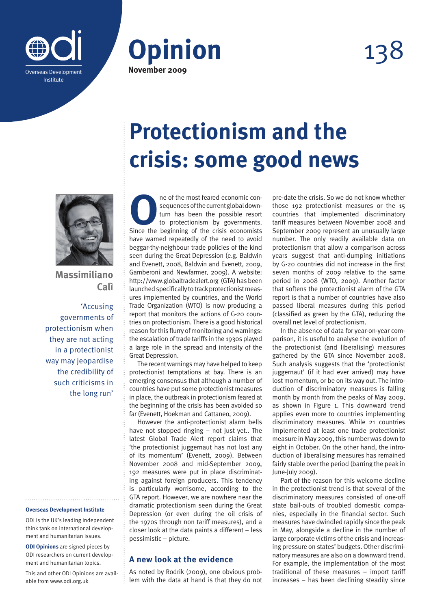



# 138



**Massimiliano Calì**

'Accusing governments of protectionism when they are not acting in a protectionist way may jeopardise the credibility of such criticisms in the long run'

#### **Overseas Development Institute**

ODI is the UK's leading independent think tank on international development and humanitarian issues.

**ODI Opinions** are signed pieces by ODI researchers on current development and humanitarian topics.

This and other ODI Opinions are available from www.odi.org.uk

## **Protectionism and the crisis: some good news**

**O**ne of the most feared economic consequences of the current global downturn has been the possible resort to protectionism by governments.<br>Since the beginning of the crisis economists sequences of the current global downturn has been the possible resort to protectionism by governments. Since the beginning of the crisis economists have warned repeatedly of the need to avoid beggar-thy-neighbour trade policies of the kind seen during the Great Depression (e.g. Baldwin and Evenett, 2008, Baldwin and Evenett, 2009, Gamberoni and Newfarmer, 2009). A website: http://www.globaltradealert.org (GTA) has been launched specifically to track protectionist measures implemented by countries, and the World Trade Organization (WTO) is now producing a report that monitors the actions of G-20 countries on protectionism. There is a good historical reason for this flurry of monitoring and warnings: the escalation of trade tariffs in the 1930s played a large role in the spread and intensity of the Great Depression.

The recent warnings may have helped to keep protectionist temptations at bay. There is an emerging consensus that although a number of countries have put some protectionist measures in place, the outbreak in protectionism feared at the beginning of the crisis has been avoided so far (Evenett, Hoekman and Cattaneo, 2009).

However the anti-protectionist alarm bells have not stopped ringing – not just yet.. The latest Global Trade Alert report claims that 'the protectionist juggernaut has not lost any of its momentum' (Evenett, 2009). Between November 2008 and mid-September 2009, 192 measures were put in place discriminating against foreign producers. This tendency is particularly worrisome, according to the GTA report. However, we are nowhere near the dramatic protectionism seen during the Great Depression (or even during the oil crisis of the 1970s through non tariff measures), and a closer look at the data paints a different – less pessimistic – picture.

### **A new look at the evidence**

As noted by Rodrik (2009), one obvious problem with the data at hand is that they do not pre-date the crisis. So we do not know whether those 192 protectionist measures or the 15 countries that implemented discriminatory tariff measures between November 2008 and September 2009 represent an unusually large number. The only readily available data on protectionism that allow a comparison across years suggest that anti-dumping initiations by G-20 countries did not increase in the first seven months of 2009 relative to the same period in 2008 (WTO, 2009). Another factor that softens the protectionist alarm of the GTA report is that a number of countries have also passed liberal measures during this period (classified as green by the GTA), reducing the overall net level of protectionism.

In the absence of data for year-on-year comparison, it is useful to analyse the evolution of the protectionist (and liberalising) measures gathered by the GTA since November 2008. Such analysis suggests that the 'protectionist juggernaut' (if it had ever arrived) may have lost momentum, or be on its way out. The introduction of discriminatory measures is falling month by month from the peaks of May 2009, as shown in Figure 1. This downward trend applies even more to countries implementing discriminatory measures. While 21 countries implemented at least one trade protectionist measure in May 2009, this number was down to eight in October. On the other hand, the introduction of liberalising measures has remained fairly stable over the period (barring the peak in June-July 2009).

Part of the reason for this welcome decline in the protectionist trend is that several of the discriminatory measures consisted of one-off state bail-outs of troubled domestic companies, especially in the financial sector. Such measures have dwindled rapidly since the peak in May, alongside a decline in the number of large corporate victims of the crisis and increasing pressure on states' budgets. Other discriminatory measures are also on a downward trend. For example, the implementation of the most traditional of these measures – import tariff increases – has been declining steadily since